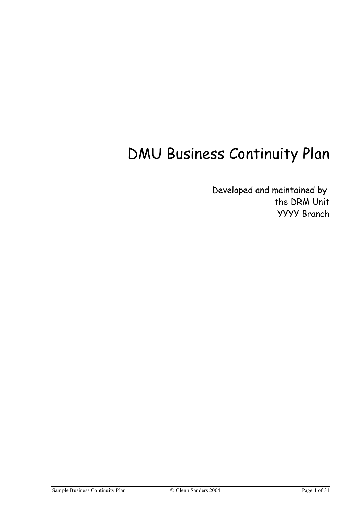# DMU Business Continuity Plan

Developed and maintained by the DRM Unit YYYY Branch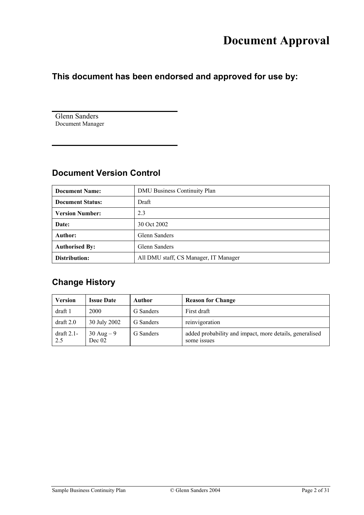## **Document Approval**

#### **This document has been endorsed and approved for use by:**

Glenn Sanders Document Manager

#### **Document Version Control**

| <b>Document Name:</b>   | DMU Business Continuity Plan          |  |
|-------------------------|---------------------------------------|--|
| <b>Document Status:</b> | Draft                                 |  |
| <b>Version Number:</b>  | 2.3                                   |  |
| Date:                   | 30 Oct 2002                           |  |
| Author:                 | Glenn Sanders                         |  |
| <b>Authorised By:</b>   | Glenn Sanders                         |  |
| Distribution:           | All DMU staff, CS Manager, IT Manager |  |

#### **Change History**

| Version             | <b>Issue Date</b>              | Author    | <b>Reason for Change</b>                                               |
|---------------------|--------------------------------|-----------|------------------------------------------------------------------------|
| draft 1             | 2000                           | G Sanders | First draft                                                            |
| draff 2.0           | 30 July 2002                   | G Sanders | reinvigoration                                                         |
| $draff 2.1-$<br>2.5 | $30 \text{ Aug} - 9$<br>Dec 02 | G Sanders | added probability and impact, more details, generalised<br>some issues |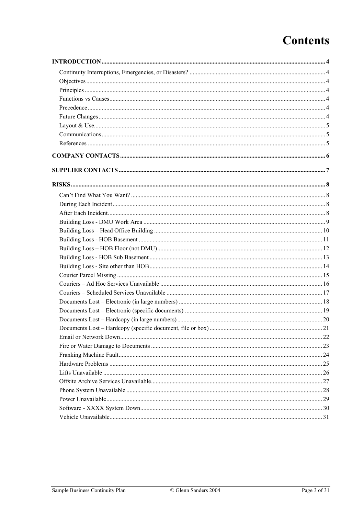## **Contents**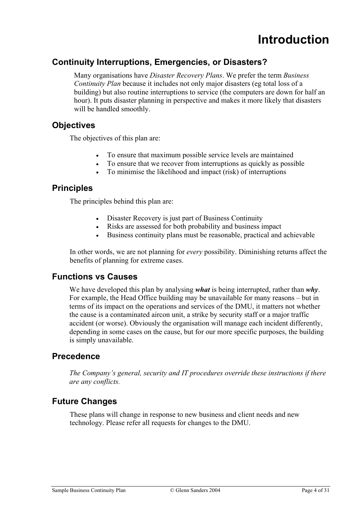## <span id="page-3-0"></span>**Introduction**

#### <span id="page-3-1"></span>**Continuity Interruptions, Emergencies, or Disasters?**

Many organisations have *Disaster Recovery Plans*. We prefer the term *Business Continuity Plan* because it includes not only major disasters (eg total loss of a building) but also routine interruptions to service (the computers are down for half an hour). It puts disaster planning in perspective and makes it more likely that disasters will be handled smoothly.

#### <span id="page-3-2"></span>**Objectives**

The objectives of this plan are:

- To ensure that maximum possible service levels are maintained
- To ensure that we recover from interruptions as quickly as possible
- To minimise the likelihood and impact (risk) of interruptions

#### <span id="page-3-3"></span>**Principles**

The principles behind this plan are:

- Disaster Recovery is just part of Business Continuity
- Risks are assessed for both probability and business impact
- Business continuity plans must be reasonable, practical and achievable

In other words, we are not planning for *every* possibility. Diminishing returns affect the benefits of planning for extreme cases.

#### <span id="page-3-4"></span>**Functions vs Causes**

We have developed this plan by analysing *what* is being interrupted, rather than *why*. For example, the Head Office building may be unavailable for many reasons – but in terms of its impact on the operations and services of the DMU, it matters not whether the cause is a contaminated aircon unit, a strike by security staff or a major traffic accident (or worse). Obviously the organisation will manage each incident differently, depending in some cases on the cause, but for our more specific purposes, the building is simply unavailable.

#### <span id="page-3-5"></span>**Precedence**

*The Company's general, security and IT procedures override these instructions if there are any conflicts.*

#### <span id="page-3-6"></span>**Future Changes**

These plans will change in response to new business and client needs and new technology. Please refer all requests for changes to the DMU.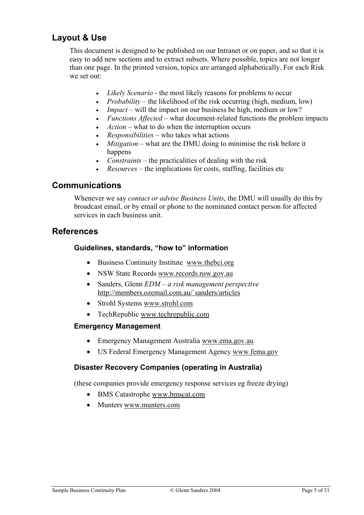#### <span id="page-4-0"></span>**Layout & Use**

This document is designed to be published on our Intranet or on paper, and so that it is easy to add new sections and to extract subsets. Where possible, topics are not longer than one page. In the printed version, topics are arranged alphabetically. For each Risk we set out:

- *Likely Scenario* the most likely reasons for problems to occur
- *Probability* the likelihood of the risk occurring (high, medium, low)
- *Impact* will the impact on our business be high, medium or low?
- *Functions Affected* what document-related functions the problem impacts
- *Action* what to do when the interruption occurs
- *Responsibilities* who takes what actions
- *Mitigation* what are the DMU doing to minimise the risk before it happens
- *Constraints* the practicalities of dealing with the risk
- *Resources* the implications for costs, staffing, facilities etc

#### <span id="page-4-1"></span>**Communications**

Whenever we say *contact or advise Business Units*, the DMU will usually do this by broadcast email, or by email or phone to the nominated contact person for affected services in each business unit.

#### <span id="page-4-2"></span>**References**

#### **Guidelines, standards, "how to" information**

- Business Continuity Institute [www.thebci.org](http://www.thebci.org/)
- NSW State Records [www.records.nsw.gov.au](http://www.records.nsw.gov.au/)
- Sanders, Glenn *EDM a risk management perspective* <http://members.ozemail.com.au/`sanders/articles>
- Strohl Systems [www.strohl.com](http://www.strohl.com/)
- TechRepublic [www.techrepublic.com](http://www.techrepublic.com/)

#### **Emergency Management**

- Emergency Management Australia [www.ema.gov.au](http://www.ema.gov.au/)
- US Federal Emergency Management Agency [www.fema.gov](http://www.fema.gov/)

#### **Disaster Recovery Companies (operating in Australia)**

(these companies provide emergency response services eg freeze drying)

- BMS Catastrophe [www.bmscat.com](http://www.bmscat.com/)
- Munters [www.munters.com](http://www.munters.com/)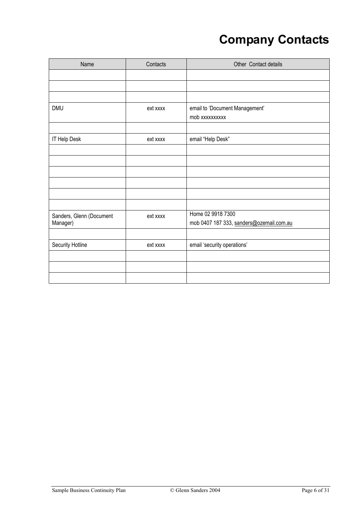## <span id="page-5-0"></span>**Company Contacts**

| Name                     | Contacts | Other Contact details                    |
|--------------------------|----------|------------------------------------------|
|                          |          |                                          |
|                          |          |                                          |
|                          |          |                                          |
| <b>DMU</b>               | ext xxxx | email to 'Document Management'           |
|                          |          | mob xxxxxxxxx                            |
|                          |          |                                          |
| IT Help Desk             | ext xxxx | email "Help Desk"                        |
|                          |          |                                          |
|                          |          |                                          |
|                          |          |                                          |
|                          |          |                                          |
|                          |          |                                          |
|                          |          |                                          |
| Sanders, Glenn (Document | ext xxxx | Home 02 9918 7300                        |
| Manager)                 |          | mob 0407 187 333, sanders@ozemail.com.au |
|                          |          |                                          |
| Security Hotline         | ext xxxx | email 'security operations'              |
|                          |          |                                          |
|                          |          |                                          |
|                          |          |                                          |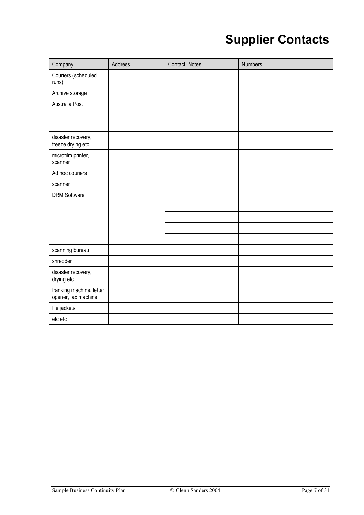## <span id="page-6-0"></span>**Supplier Contacts**

| Company                                         | Address | Contact, Notes | <b>Numbers</b> |
|-------------------------------------------------|---------|----------------|----------------|
| Couriers (scheduled<br>runs)                    |         |                |                |
| Archive storage                                 |         |                |                |
| Australia Post                                  |         |                |                |
|                                                 |         |                |                |
|                                                 |         |                |                |
| disaster recovery,<br>freeze drying etc         |         |                |                |
| microfilm printer,<br>scanner                   |         |                |                |
| Ad hoc couriers                                 |         |                |                |
| scanner                                         |         |                |                |
| <b>DRM Software</b>                             |         |                |                |
|                                                 |         |                |                |
|                                                 |         |                |                |
|                                                 |         |                |                |
|                                                 |         |                |                |
| scanning bureau                                 |         |                |                |
| shredder                                        |         |                |                |
| disaster recovery,<br>drying etc                |         |                |                |
| franking machine, letter<br>opener, fax machine |         |                |                |
| file jackets                                    |         |                |                |
| etc etc                                         |         |                |                |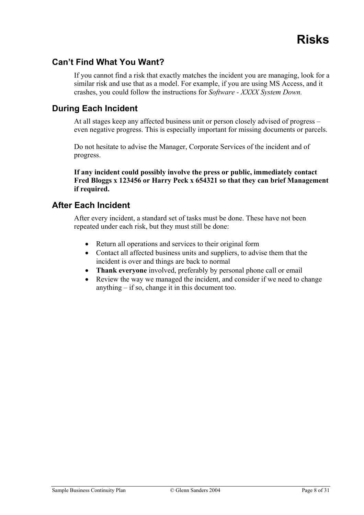### <span id="page-7-0"></span>**Risks**

#### <span id="page-7-1"></span>**Can't Find What You Want?**

If you cannot find a risk that exactly matches the incident you are managing, look for a similar risk and use that as a model. For example, if you are using MS Access, and it crashes, you could follow the instructions for *[Software - XXXX System Down.](#page-29-0)*

#### <span id="page-7-2"></span>**During Each Incident**

At all stages keep any affected business unit or person closely advised of progress – even negative progress. This is especially important for missing documents or parcels.

Do not hesitate to advise the Manager, Corporate Services of the incident and of progress.

**If any incident could possibly involve the press or public, immediately contact Fred Bloggs x 123456 or Harry Peck x 654321 so that they can brief Management if required.**

#### <span id="page-7-3"></span>**After Each Incident**

After every incident, a standard set of tasks must be done. These have not been repeated under each risk, but they must still be done:

- Return all operations and services to their original form
- Contact all affected business units and suppliers, to advise them that the incident is over and things are back to normal
- **Thank everyone** involved, preferably by personal phone call or email
- Review the way we managed the incident, and consider if we need to change anything – if so, change it in this document too.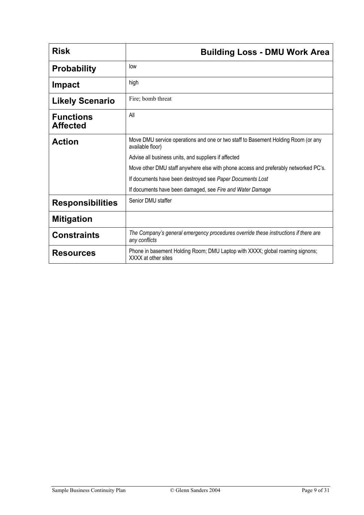<span id="page-8-0"></span>

| <b>Risk</b>                         | <b>Building Loss - DMU Work Area</b>                                                                  |
|-------------------------------------|-------------------------------------------------------------------------------------------------------|
| <b>Probability</b>                  | low                                                                                                   |
| <b>Impact</b>                       | high                                                                                                  |
| <b>Likely Scenario</b>              | Fire; bomb threat                                                                                     |
| <b>Functions</b><br><b>Affected</b> | All                                                                                                   |
| <b>Action</b>                       | Move DMU service operations and one or two staff to Basement Holding Room (or any<br>available floor) |
|                                     | Advise all business units, and suppliers if affected                                                  |
|                                     | Move other DMU staff anywhere else with phone access and preferably networked PC's.                   |
|                                     | If documents have been destroyed see Paper Documents Lost                                             |
|                                     | If documents have been damaged, see Fire and Water Damage                                             |
| <b>Responsibilities</b>             | Senior DMU staffer                                                                                    |
| <b>Mitigation</b>                   |                                                                                                       |
| <b>Constraints</b>                  | The Company's general emergency procedures override these instructions if there are<br>any conflicts  |
| <b>Resources</b>                    | Phone in basement Holding Room; DMU Laptop with XXXX; global roaming signons;<br>XXXX at other sites  |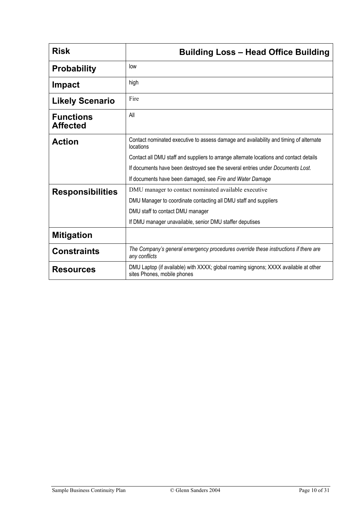<span id="page-9-0"></span>

| <b>Risk</b>                         | <b>Building Loss - Head Office Building</b>                                                                         |
|-------------------------------------|---------------------------------------------------------------------------------------------------------------------|
| <b>Probability</b>                  | low                                                                                                                 |
| <b>Impact</b>                       | high                                                                                                                |
| <b>Likely Scenario</b>              | Fire                                                                                                                |
| <b>Functions</b><br><b>Affected</b> | All                                                                                                                 |
| <b>Action</b>                       | Contact nominated executive to assess damage and availability and timing of alternate<br>locations                  |
|                                     | Contact all DMU staff and suppliers to arrange alternate locations and contact details                              |
|                                     | If documents have been destroyed see the several entries under Documents Lost.                                      |
|                                     | If documents have been damaged, see Fire and Water Damage                                                           |
| <b>Responsibilities</b>             | DMU manager to contact nominated available executive                                                                |
|                                     | DMU Manager to coordinate contacting all DMU staff and suppliers                                                    |
|                                     | DMU staff to contact DMU manager                                                                                    |
|                                     | If DMU manager unavailable, senior DMU staffer deputises                                                            |
| <b>Mitigation</b>                   |                                                                                                                     |
| <b>Constraints</b>                  | The Company's general emergency procedures override these instructions if there are<br>any conflicts                |
| <b>Resources</b>                    | DMU Laptop (if available) with XXXX; global roaming signons; XXXX available at other<br>sites Phones, mobile phones |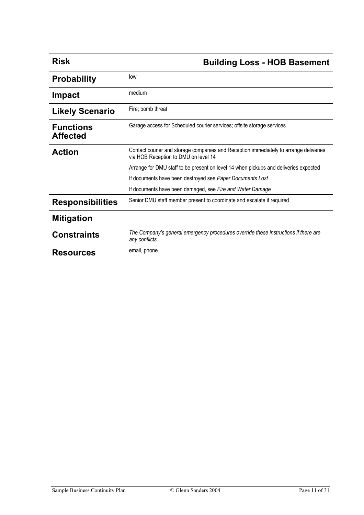<span id="page-10-0"></span>

| <b>Risk</b>                         | <b>Building Loss - HOB Basement</b>                                                                                           |
|-------------------------------------|-------------------------------------------------------------------------------------------------------------------------------|
| <b>Probability</b>                  | low                                                                                                                           |
| <b>Impact</b>                       | medium                                                                                                                        |
| <b>Likely Scenario</b>              | Fire; bomb threat                                                                                                             |
| <b>Functions</b><br><b>Affected</b> | Garage access for Scheduled courier services; offsite storage services                                                        |
| <b>Action</b>                       | Contact courier and storage companies and Reception immediately to arrange deliveries<br>via HOB Reception to DMU on level 14 |
|                                     | Arrange for DMU staff to be present on level 14 when pickups and deliveries expected                                          |
|                                     | If documents have been destroyed see Paper Documents Lost                                                                     |
|                                     | If documents have been damaged, see Fire and Water Damage                                                                     |
| <b>Responsibilities</b>             | Senior DMU staff member present to coordinate and escalate if required                                                        |
| <b>Mitigation</b>                   |                                                                                                                               |
| <b>Constraints</b>                  | The Company's general emergency procedures override these instructions if there are<br>any conflicts                          |
| <b>Resources</b>                    | email, phone                                                                                                                  |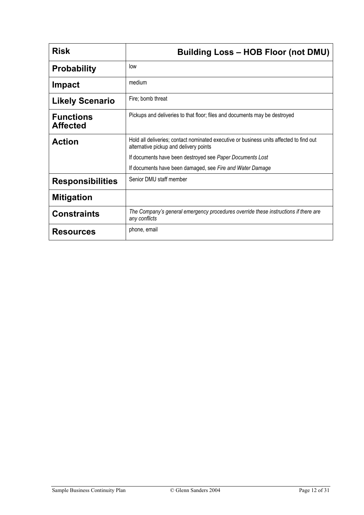<span id="page-11-0"></span>

| <b>Risk</b>                         | <b>Building Loss - HOB Floor (not DMU)</b>                                                                                        |
|-------------------------------------|-----------------------------------------------------------------------------------------------------------------------------------|
| <b>Probability</b>                  | low                                                                                                                               |
| <b>Impact</b>                       | medium                                                                                                                            |
| <b>Likely Scenario</b>              | Fire; bomb threat                                                                                                                 |
| <b>Functions</b><br><b>Affected</b> | Pickups and deliveries to that floor; files and documents may be destroyed                                                        |
| <b>Action</b>                       | Hold all deliveries; contact nominated executive or business units affected to find out<br>alternative pickup and delivery points |
|                                     | If documents have been destroyed see Paper Documents Lost                                                                         |
|                                     | If documents have been damaged, see Fire and Water Damage                                                                         |
| <b>Responsibilities</b>             | Senior DMU staff member                                                                                                           |
| <b>Mitigation</b>                   |                                                                                                                                   |
| <b>Constraints</b>                  | The Company's general emergency procedures override these instructions if there are<br>any conflicts                              |
| <b>Resources</b>                    | phone, email                                                                                                                      |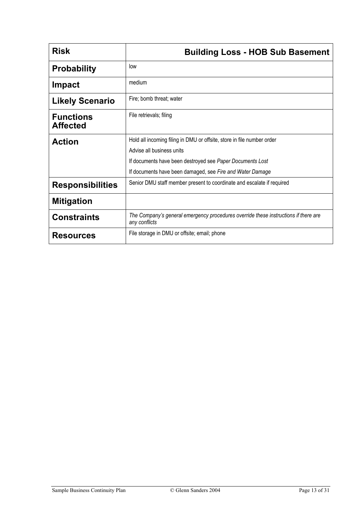<span id="page-12-0"></span>

| <b>Risk</b>                         | <b>Building Loss - HOB Sub Basement</b>                                                                                                                                                                                       |
|-------------------------------------|-------------------------------------------------------------------------------------------------------------------------------------------------------------------------------------------------------------------------------|
| <b>Probability</b>                  | low                                                                                                                                                                                                                           |
| <b>Impact</b>                       | medium                                                                                                                                                                                                                        |
| <b>Likely Scenario</b>              | Fire; bomb threat; water                                                                                                                                                                                                      |
| <b>Functions</b><br><b>Affected</b> | File retrievals; filing                                                                                                                                                                                                       |
| <b>Action</b>                       | Hold all incoming filing in DMU or offsite, store in file number order<br>Advise all business units<br>If documents have been destroyed see Paper Documents Lost<br>If documents have been damaged, see Fire and Water Damage |
| <b>Responsibilities</b>             | Senior DMU staff member present to coordinate and escalate if required                                                                                                                                                        |
| <b>Mitigation</b>                   |                                                                                                                                                                                                                               |
| <b>Constraints</b>                  | The Company's general emergency procedures override these instructions if there are<br>any conflicts                                                                                                                          |
| <b>Resources</b>                    | File storage in DMU or offsite; email; phone                                                                                                                                                                                  |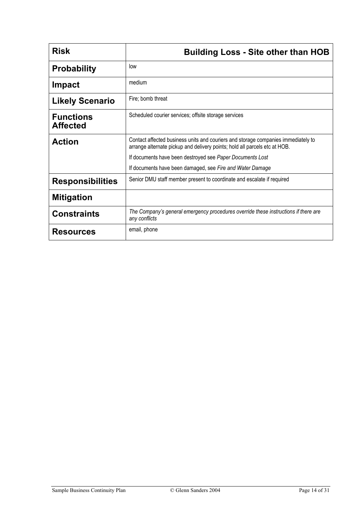<span id="page-13-0"></span>

| <b>Risk</b>                         | <b>Building Loss - Site other than HOB</b>                                                                                                                      |
|-------------------------------------|-----------------------------------------------------------------------------------------------------------------------------------------------------------------|
| <b>Probability</b>                  | low                                                                                                                                                             |
| Impact                              | medium                                                                                                                                                          |
| <b>Likely Scenario</b>              | Fire; bomb threat                                                                                                                                               |
| <b>Functions</b><br><b>Affected</b> | Scheduled courier services; offsite storage services                                                                                                            |
| <b>Action</b>                       | Contact affected business units and couriers and storage companies immediately to<br>arrange alternate pickup and delivery points; hold all parcels etc at HOB. |
|                                     | If documents have been destroyed see Paper Documents Lost                                                                                                       |
|                                     | If documents have been damaged, see Fire and Water Damage                                                                                                       |
| <b>Responsibilities</b>             | Senior DMU staff member present to coordinate and escalate if required                                                                                          |
| <b>Mitigation</b>                   |                                                                                                                                                                 |
| <b>Constraints</b>                  | The Company's general emergency procedures override these instructions if there are<br>any conflicts                                                            |
| <b>Resources</b>                    | email, phone                                                                                                                                                    |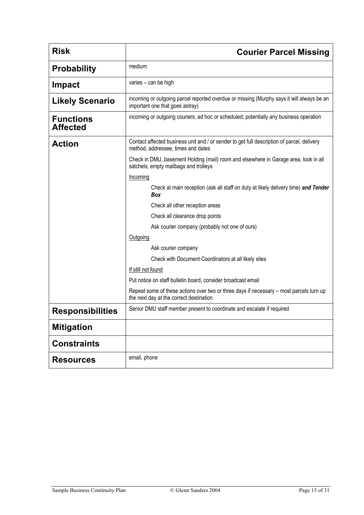<span id="page-14-0"></span>

| <b>Risk</b>                         | <b>Courier Parcel Missing</b>                                                                                                      |
|-------------------------------------|------------------------------------------------------------------------------------------------------------------------------------|
| <b>Probability</b>                  | medium                                                                                                                             |
| <b>Impact</b>                       | varies - can be high                                                                                                               |
| <b>Likely Scenario</b>              | incoming or outgoing parcel reported overdue or missing (Murphy says it will always be an<br>important one that goes astray)       |
| <b>Functions</b><br><b>Affected</b> | incoming or outgoing couriers, ad hoc or scheduled; potentially any business operation                                             |
| <b>Action</b>                       | Contact affected business unit and / or sender to get full description of parcel, delivery<br>method, addressee, times and dates   |
|                                     | Check in DMU, basement Holding (mail) room and elsewhere in Garage area, look in all<br>satchels, empty mailbags and trolleys      |
|                                     | Incoming                                                                                                                           |
|                                     | Check at main reception (ask all staff on duty at likely delivery time) and Tender<br><b>Box</b>                                   |
|                                     | Check all other reception areas                                                                                                    |
|                                     | Check all clearance drop points                                                                                                    |
|                                     | Ask courier company (probably not one of ours)                                                                                     |
|                                     | <b>Outgoing</b>                                                                                                                    |
|                                     | Ask courier company                                                                                                                |
|                                     | Check with Document Coordinators at all likely sites                                                                               |
|                                     | If still not found                                                                                                                 |
|                                     | Put notice on staff bulletin board, consider broadcast email                                                                       |
|                                     | Repeat some of these actions over two or three days if necessary - most parcels turn up<br>the next day at the correct destination |
| <b>Responsibilities</b>             | Senior DMU staff member present to coordinate and escalate if required                                                             |
| <b>Mitigation</b>                   |                                                                                                                                    |
| <b>Constraints</b>                  |                                                                                                                                    |
| <b>Resources</b>                    | email, phone                                                                                                                       |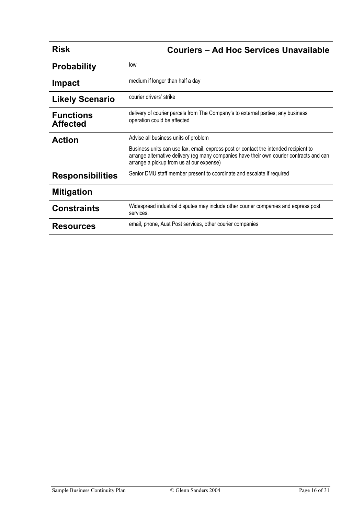<span id="page-15-0"></span>

| <b>Risk</b>                         | <b>Couriers - Ad Hoc Services Unavailable</b>                                                                                                                                                                                |
|-------------------------------------|------------------------------------------------------------------------------------------------------------------------------------------------------------------------------------------------------------------------------|
| <b>Probability</b>                  | low                                                                                                                                                                                                                          |
| <b>Impact</b>                       | medium if longer than half a day                                                                                                                                                                                             |
| <b>Likely Scenario</b>              | courier drivers' strike                                                                                                                                                                                                      |
| <b>Functions</b><br><b>Affected</b> | delivery of courier parcels from The Company's to external parties; any business<br>operation could be affected                                                                                                              |
| <b>Action</b>                       | Advise all business units of problem                                                                                                                                                                                         |
|                                     | Business units can use fax, email, express post or contact the intended recipient to<br>arrange alternative delivery (eg many companies have their own courier contracts and can<br>arrange a pickup from us at our expense) |
| <b>Responsibilities</b>             | Senior DMU staff member present to coordinate and escalate if required                                                                                                                                                       |
| <b>Mitigation</b>                   |                                                                                                                                                                                                                              |
| <b>Constraints</b>                  | Widespread industrial disputes may include other courier companies and express post<br>services.                                                                                                                             |
| <b>Resources</b>                    | email, phone, Aust Post services, other courier companies                                                                                                                                                                    |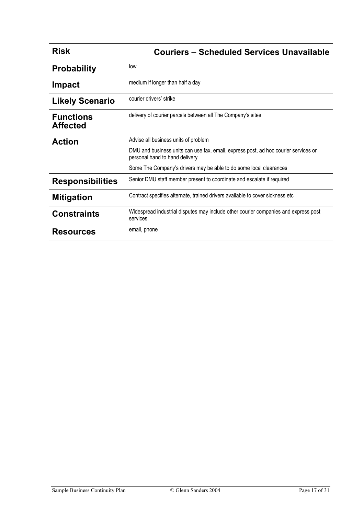<span id="page-16-0"></span>

| <b>Risk</b>                         | <b>Couriers – Scheduled Services Unavailable</b>                                                                      |
|-------------------------------------|-----------------------------------------------------------------------------------------------------------------------|
| <b>Probability</b>                  | low                                                                                                                   |
| Impact                              | medium if longer than half a day                                                                                      |
| <b>Likely Scenario</b>              | courier drivers' strike                                                                                               |
| <b>Functions</b><br><b>Affected</b> | delivery of courier parcels between all The Company's sites                                                           |
| <b>Action</b>                       | Advise all business units of problem                                                                                  |
|                                     | DMU and business units can use fax, email, express post, ad hoc courier services or<br>personal hand to hand delivery |
|                                     | Some The Company's drivers may be able to do some local clearances                                                    |
| <b>Responsibilities</b>             | Senior DMU staff member present to coordinate and escalate if required                                                |
| <b>Mitigation</b>                   | Contract specifies alternate, trained drivers available to cover sickness etc                                         |
| <b>Constraints</b>                  | Widespread industrial disputes may include other courier companies and express post<br>services.                      |
| <b>Resources</b>                    | email, phone                                                                                                          |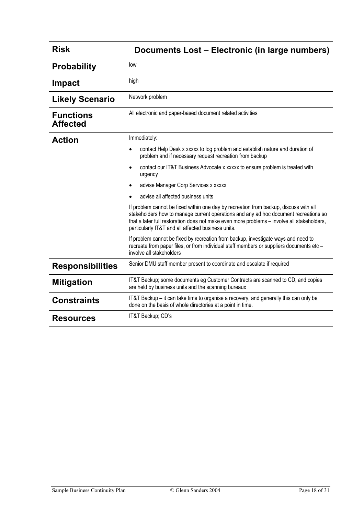<span id="page-17-0"></span>

| <b>Risk</b>                         | Documents Lost - Electronic (in large numbers)                                                                                                                                                                                                                                                                                    |
|-------------------------------------|-----------------------------------------------------------------------------------------------------------------------------------------------------------------------------------------------------------------------------------------------------------------------------------------------------------------------------------|
| <b>Probability</b>                  | low                                                                                                                                                                                                                                                                                                                               |
| <b>Impact</b>                       | high                                                                                                                                                                                                                                                                                                                              |
| <b>Likely Scenario</b>              | Network problem                                                                                                                                                                                                                                                                                                                   |
| <b>Functions</b><br><b>Affected</b> | All electronic and paper-based document related activities                                                                                                                                                                                                                                                                        |
| <b>Action</b>                       | Immediately:                                                                                                                                                                                                                                                                                                                      |
|                                     | contact Help Desk x xxxxx to log problem and establish nature and duration of<br>$\bullet$<br>problem and if necessary request recreation from backup                                                                                                                                                                             |
|                                     | contact our IT&T Business Advocate x xxxxx to ensure problem is treated with<br>$\bullet$<br>urgency                                                                                                                                                                                                                              |
|                                     | advise Manager Corp Services x xxxxx<br>$\bullet$                                                                                                                                                                                                                                                                                 |
|                                     | advise all affected business units                                                                                                                                                                                                                                                                                                |
|                                     | If problem cannot be fixed within one day by recreation from backup, discuss with all<br>stakeholders how to manage current operations and any ad hoc document recreations so<br>that a later full restoration does not make even more problems - involve all stakeholders,<br>particularly IT&T and all affected business units. |
|                                     | If problem cannot be fixed by recreation from backup, investigate ways and need to<br>recreate from paper files, or from individual staff members or suppliers documents etc -<br>involve all stakeholders                                                                                                                        |
| <b>Responsibilities</b>             | Senior DMU staff member present to coordinate and escalate if required                                                                                                                                                                                                                                                            |
| <b>Mitigation</b>                   | IT&T Backup; some documents eg Customer Contracts are scanned to CD, and copies<br>are held by business units and the scanning bureaux                                                                                                                                                                                            |
| <b>Constraints</b>                  | IT&T Backup – it can take time to organise a recovery, and generally this can only be<br>done on the basis of whole directories at a point in time.                                                                                                                                                                               |
| <b>Resources</b>                    | IT&T Backup; CD's                                                                                                                                                                                                                                                                                                                 |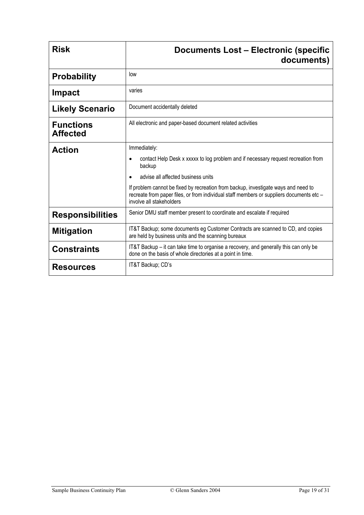<span id="page-18-0"></span>

| <b>Risk</b>                         | <b>Documents Lost - Electronic (specific</b><br>documents)                                                                                                                                                                                                                                                                                                                   |
|-------------------------------------|------------------------------------------------------------------------------------------------------------------------------------------------------------------------------------------------------------------------------------------------------------------------------------------------------------------------------------------------------------------------------|
| <b>Probability</b>                  | low                                                                                                                                                                                                                                                                                                                                                                          |
| <b>Impact</b>                       | varies                                                                                                                                                                                                                                                                                                                                                                       |
| <b>Likely Scenario</b>              | Document accidentally deleted                                                                                                                                                                                                                                                                                                                                                |
| <b>Functions</b><br><b>Affected</b> | All electronic and paper-based document related activities                                                                                                                                                                                                                                                                                                                   |
| <b>Action</b>                       | Immediately:<br>contact Help Desk x xxxxx to log problem and if necessary request recreation from<br>$\bullet$<br>backup<br>advise all affected business units<br>If problem cannot be fixed by recreation from backup, investigate ways and need to<br>recreate from paper files, or from individual staff members or suppliers documents etc -<br>involve all stakeholders |
| <b>Responsibilities</b>             | Senior DMU staff member present to coordinate and escalate if required                                                                                                                                                                                                                                                                                                       |
| <b>Mitigation</b>                   | IT&T Backup; some documents eg Customer Contracts are scanned to CD, and copies<br>are held by business units and the scanning bureaux                                                                                                                                                                                                                                       |
| <b>Constraints</b>                  | IT&T Backup – it can take time to organise a recovery, and generally this can only be<br>done on the basis of whole directories at a point in time.                                                                                                                                                                                                                          |
| <b>Resources</b>                    | IT&T Backup; CD's                                                                                                                                                                                                                                                                                                                                                            |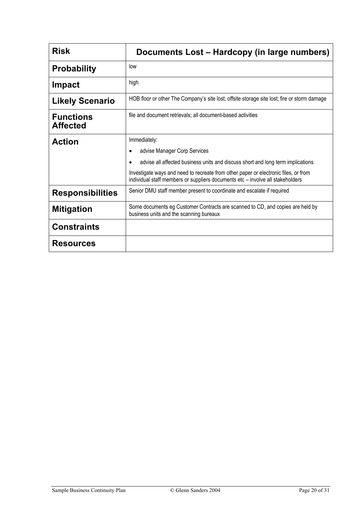<span id="page-19-0"></span>

| <b>Risk</b>                         | Documents Lost – Hardcopy (in large numbers)                                                                                                                                                                                                                                                                               |
|-------------------------------------|----------------------------------------------------------------------------------------------------------------------------------------------------------------------------------------------------------------------------------------------------------------------------------------------------------------------------|
| <b>Probability</b>                  | low                                                                                                                                                                                                                                                                                                                        |
| <b>Impact</b>                       | high                                                                                                                                                                                                                                                                                                                       |
| <b>Likely Scenario</b>              | HOB floor or other The Company's site lost; offsite storage site lost; fire or storm damage                                                                                                                                                                                                                                |
| <b>Functions</b><br><b>Affected</b> | file and document retrievals; all document-based activities                                                                                                                                                                                                                                                                |
| <b>Action</b>                       | Immediately:<br>advise Manager Corp Services<br>٠<br>advise all affected business units and discuss short and long term implications<br>$\bullet$<br>Investigate ways and need to recreate from other paper or electronic files, or from<br>individual staff members or suppliers documents etc - involve all stakeholders |
| <b>Responsibilities</b>             | Senior DMU staff member present to coordinate and escalate if required                                                                                                                                                                                                                                                     |
| <b>Mitigation</b>                   | Some documents eg Customer Contracts are scanned to CD, and copies are held by<br>business units and the scanning bureaux                                                                                                                                                                                                  |
| <b>Constraints</b>                  |                                                                                                                                                                                                                                                                                                                            |
| <b>Resources</b>                    |                                                                                                                                                                                                                                                                                                                            |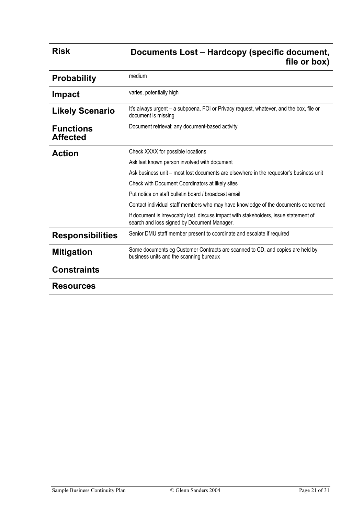<span id="page-20-0"></span>

| <b>Risk</b>                         | Documents Lost - Hardcopy (specific document,<br>file or box)                                                                                                                                                                                                                                                                                                                                                                                                                                                         |
|-------------------------------------|-----------------------------------------------------------------------------------------------------------------------------------------------------------------------------------------------------------------------------------------------------------------------------------------------------------------------------------------------------------------------------------------------------------------------------------------------------------------------------------------------------------------------|
| <b>Probability</b>                  | medium                                                                                                                                                                                                                                                                                                                                                                                                                                                                                                                |
| <b>Impact</b>                       | varies, potentially high                                                                                                                                                                                                                                                                                                                                                                                                                                                                                              |
| <b>Likely Scenario</b>              | It's always urgent - a subpoena, FOI or Privacy request, whatever, and the box, file or<br>document is missing                                                                                                                                                                                                                                                                                                                                                                                                        |
| <b>Functions</b><br><b>Affected</b> | Document retrieval; any document-based activity                                                                                                                                                                                                                                                                                                                                                                                                                                                                       |
| <b>Action</b>                       | Check XXXX for possible locations<br>Ask last known person involved with document<br>Ask business unit - most lost documents are elsewhere in the requestor's business unit<br>Check with Document Coordinators at likely sites<br>Put notice on staff bulletin board / broadcast email<br>Contact individual staff members who may have knowledge of the documents concerned<br>If document is irrevocably lost, discuss impact with stakeholders, issue statement of<br>search and loss signed by Document Manager. |
| <b>Responsibilities</b>             | Senior DMU staff member present to coordinate and escalate if required                                                                                                                                                                                                                                                                                                                                                                                                                                                |
| <b>Mitigation</b>                   | Some documents eg Customer Contracts are scanned to CD, and copies are held by<br>business units and the scanning bureaux                                                                                                                                                                                                                                                                                                                                                                                             |
| <b>Constraints</b>                  |                                                                                                                                                                                                                                                                                                                                                                                                                                                                                                                       |
| <b>Resources</b>                    |                                                                                                                                                                                                                                                                                                                                                                                                                                                                                                                       |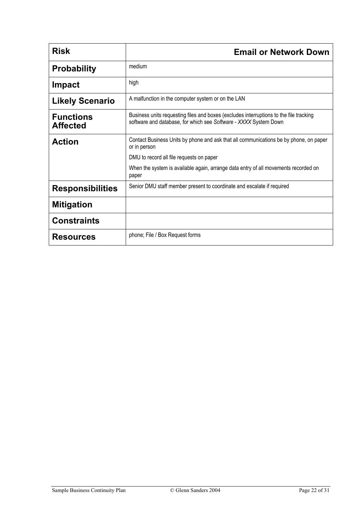<span id="page-21-0"></span>

| <b>Risk</b>                         | <b>Email or Network Down</b>                                                                                                                               |
|-------------------------------------|------------------------------------------------------------------------------------------------------------------------------------------------------------|
| <b>Probability</b>                  | medium                                                                                                                                                     |
| <b>Impact</b>                       | high                                                                                                                                                       |
| <b>Likely Scenario</b>              | A malfunction in the computer system or on the LAN                                                                                                         |
| <b>Functions</b><br><b>Affected</b> | Business units requesting files and boxes (excludes interruptions to the file tracking<br>software and database, for which see Software - XXXX System Down |
| <b>Action</b>                       | Contact Business Units by phone and ask that all communications be by phone, on paper<br>or in person                                                      |
|                                     | DMU to record all file requests on paper                                                                                                                   |
|                                     | When the system is available again, arrange data entry of all movements recorded on<br>paper                                                               |
| <b>Responsibilities</b>             | Senior DMU staff member present to coordinate and escalate if required                                                                                     |
| <b>Mitigation</b>                   |                                                                                                                                                            |
| <b>Constraints</b>                  |                                                                                                                                                            |
| <b>Resources</b>                    | phone; File / Box Request forms                                                                                                                            |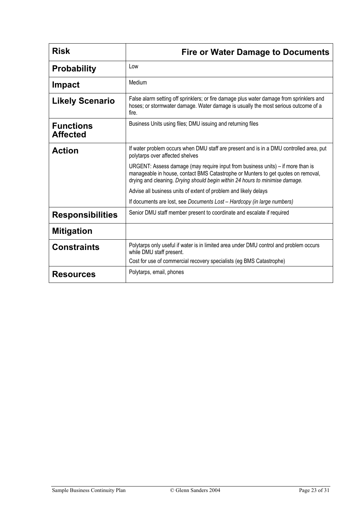<span id="page-22-0"></span>

| <b>Risk</b>                         | <b>Fire or Water Damage to Documents</b>                                                                                                                                                                                                             |
|-------------------------------------|------------------------------------------------------------------------------------------------------------------------------------------------------------------------------------------------------------------------------------------------------|
| <b>Probability</b>                  | Low                                                                                                                                                                                                                                                  |
| <b>Impact</b>                       | Medium                                                                                                                                                                                                                                               |
| <b>Likely Scenario</b>              | False alarm setting off sprinklers; or fire damage plus water damage from sprinklers and<br>hoses; or stormwater damage. Water damage is usually the most serious outcome of a<br>fire.                                                              |
| <b>Functions</b><br><b>Affected</b> | Business Units using files; DMU issuing and returning files                                                                                                                                                                                          |
| <b>Action</b>                       | If water problem occurs when DMU staff are present and is in a DMU controlled area, put<br>polytarps over affected shelves                                                                                                                           |
|                                     | URGENT: Assess damage (may require input from business units) – if more than is<br>manageable in house, contact BMS Catastrophe or Munters to get quotes on removal,<br>drying and cleaning. Drying should begin within 24 hours to minimise damage. |
|                                     | Advise all business units of extent of problem and likely delays                                                                                                                                                                                     |
|                                     | If documents are lost, see Documents Lost - Hardcopy (in large numbers)                                                                                                                                                                              |
| <b>Responsibilities</b>             | Senior DMU staff member present to coordinate and escalate if required                                                                                                                                                                               |
| <b>Mitigation</b>                   |                                                                                                                                                                                                                                                      |
| <b>Constraints</b>                  | Polytarps only useful if water is in limited area under DMU control and problem occurs<br>while DMU staff present.                                                                                                                                   |
|                                     | Cost for use of commercial recovery specialists (eg BMS Catastrophe)                                                                                                                                                                                 |
| <b>Resources</b>                    | Polytarps, email, phones                                                                                                                                                                                                                             |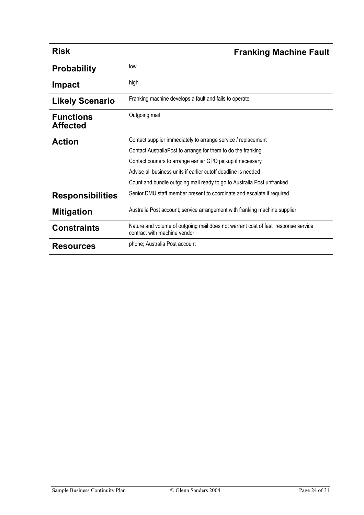<span id="page-23-0"></span>

| <b>Risk</b>                         | <b>Franking Machine Fault</b>                                                                                     |
|-------------------------------------|-------------------------------------------------------------------------------------------------------------------|
| <b>Probability</b>                  | low                                                                                                               |
| <b>Impact</b>                       | high                                                                                                              |
| <b>Likely Scenario</b>              | Franking machine develops a fault and fails to operate                                                            |
| <b>Functions</b><br><b>Affected</b> | Outgoing mail                                                                                                     |
| <b>Action</b>                       | Contact supplier immediately to arrange service / replacement                                                     |
|                                     | Contact AustraliaPost to arrange for them to do the franking                                                      |
|                                     | Contact couriers to arrange earlier GPO pickup if necessary                                                       |
|                                     | Advise all business units if earlier cutoff deadline is needed                                                    |
|                                     | Count and bundle outgoing mail ready to go to Australia Post unfranked                                            |
| <b>Responsibilities</b>             | Senior DMU staff member present to coordinate and escalate if required                                            |
| <b>Mitigation</b>                   | Australia Post account; service arrangement with franking machine supplier                                        |
| <b>Constraints</b>                  | Nature and volume of outgoing mail does not warrant cost of fast response service<br>contract with machine vendor |
| <b>Resources</b>                    | phone; Australia Post account                                                                                     |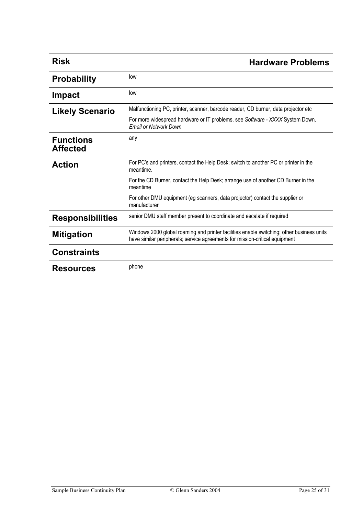<span id="page-24-0"></span>

| <b>Risk</b>                         | <b>Hardware Problems</b>                                                                                                                                                 |
|-------------------------------------|--------------------------------------------------------------------------------------------------------------------------------------------------------------------------|
| <b>Probability</b>                  | low                                                                                                                                                                      |
| <b>Impact</b>                       | low                                                                                                                                                                      |
| <b>Likely Scenario</b>              | Malfunctioning PC, printer, scanner, barcode reader, CD burner, data projector etc                                                                                       |
|                                     | For more widespread hardware or IT problems, see Software - XXXX System Down,<br><b>Email or Network Down</b>                                                            |
| <b>Functions</b><br><b>Affected</b> | any                                                                                                                                                                      |
| <b>Action</b>                       | For PC's and printers, contact the Help Desk; switch to another PC or printer in the<br>meantime.                                                                        |
|                                     | For the CD Burner, contact the Help Desk; arrange use of another CD Burner in the<br>meantime                                                                            |
|                                     | For other DMU equipment (eg scanners, data projector) contact the supplier or<br>manufacturer                                                                            |
| <b>Responsibilities</b>             | senior DMU staff member present to coordinate and escalate if required                                                                                                   |
| <b>Mitigation</b>                   | Windows 2000 global roaming and printer facilities enable switching; other business units<br>have similar peripherals; service agreements for mission-critical equipment |
| <b>Constraints</b>                  |                                                                                                                                                                          |
| <b>Resources</b>                    | phone                                                                                                                                                                    |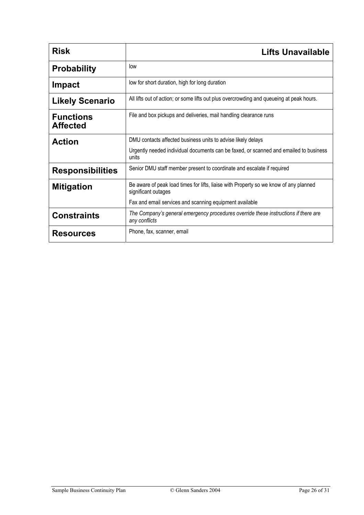<span id="page-25-0"></span>

| <b>Risk</b>                         | Lifts Unavailable                                                                                            |
|-------------------------------------|--------------------------------------------------------------------------------------------------------------|
| <b>Probability</b>                  | low                                                                                                          |
| <b>Impact</b>                       | low for short duration, high for long duration                                                               |
| <b>Likely Scenario</b>              | All lifts out of action; or some lifts out plus overcrowding and queueing at peak hours.                     |
| <b>Functions</b><br><b>Affected</b> | File and box pickups and deliveries, mail handling clearance runs                                            |
| <b>Action</b>                       | DMU contacts affected business units to advise likely delays                                                 |
|                                     | Urgently needed individual documents can be faxed, or scanned and emailed to business<br>units               |
| <b>Responsibilities</b>             | Senior DMU staff member present to coordinate and escalate if required                                       |
| <b>Mitigation</b>                   | Be aware of peak load times for lifts, liaise with Property so we know of any planned<br>significant outages |
|                                     | Fax and email services and scanning equipment available                                                      |
| <b>Constraints</b>                  | The Company's general emergency procedures override these instructions if there are<br>any conflicts         |
| <b>Resources</b>                    | Phone, fax, scanner, email                                                                                   |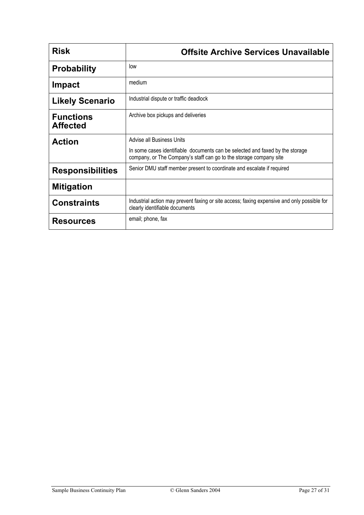<span id="page-26-0"></span>

| <b>Risk</b>                         | <b>Offsite Archive Services Unavailable</b>                                                                                                         |
|-------------------------------------|-----------------------------------------------------------------------------------------------------------------------------------------------------|
| <b>Probability</b>                  | low                                                                                                                                                 |
| Impact                              | medium                                                                                                                                              |
| <b>Likely Scenario</b>              | Industrial dispute or traffic deadlock                                                                                                              |
| <b>Functions</b><br><b>Affected</b> | Archive box pickups and deliveries                                                                                                                  |
| <b>Action</b>                       | Advise all Business Units                                                                                                                           |
|                                     | In some cases identifiable documents can be selected and faxed by the storage<br>company, or The Company's staff can go to the storage company site |
| <b>Responsibilities</b>             | Senior DMU staff member present to coordinate and escalate if required                                                                              |
| <b>Mitigation</b>                   |                                                                                                                                                     |
| <b>Constraints</b>                  | Industrial action may prevent faxing or site access; faxing expensive and only possible for<br>clearly identifiable documents                       |
| <b>Resources</b>                    | email; phone, fax                                                                                                                                   |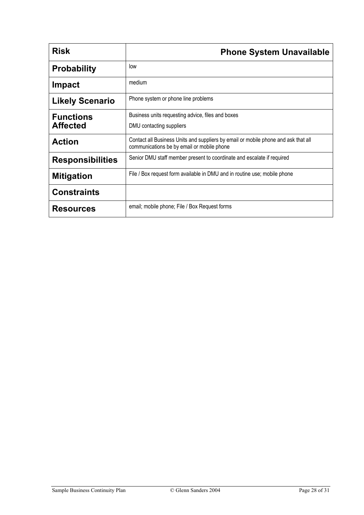<span id="page-27-0"></span>

| <b>Risk</b>                         | <b>Phone System Unavailable</b>                                                                                                  |
|-------------------------------------|----------------------------------------------------------------------------------------------------------------------------------|
| <b>Probability</b>                  | low                                                                                                                              |
| Impact                              | medium                                                                                                                           |
| <b>Likely Scenario</b>              | Phone system or phone line problems                                                                                              |
| <b>Functions</b><br><b>Affected</b> | Business units requesting advice, files and boxes<br>DMU contacting suppliers                                                    |
| <b>Action</b>                       | Contact all Business Units and suppliers by email or mobile phone and ask that all<br>communications be by email or mobile phone |
| <b>Responsibilities</b>             | Senior DMU staff member present to coordinate and escalate if required                                                           |
| <b>Mitigation</b>                   | File / Box request form available in DMU and in routine use; mobile phone                                                        |
| <b>Constraints</b>                  |                                                                                                                                  |
| <b>Resources</b>                    | email; mobile phone; File / Box Request forms                                                                                    |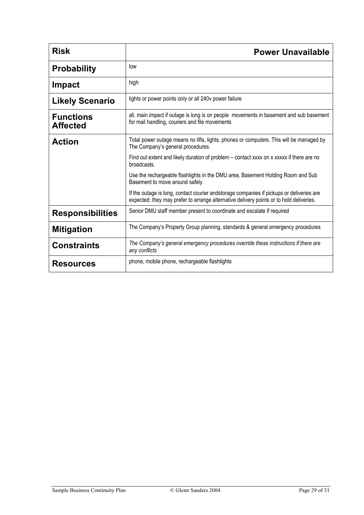<span id="page-28-0"></span>

| <b>Risk</b>                         | <b>Power Unavailable</b>                                                                                                                                                            |
|-------------------------------------|-------------------------------------------------------------------------------------------------------------------------------------------------------------------------------------|
| <b>Probability</b>                  | low                                                                                                                                                                                 |
| <b>Impact</b>                       | high                                                                                                                                                                                |
| <b>Likely Scenario</b>              | lights or power points only or all 240v power failure                                                                                                                               |
| <b>Functions</b><br><b>Affected</b> | all, main impact if outage is long is on people movements in basement and sub basement<br>for mail handling, couriers and file movements                                            |
| <b>Action</b>                       | Total power outage means no lifts, lights, phones or computers. This will be managed by<br>The Company's general procedures.                                                        |
|                                     | Find out extent and likely duration of problem – contact xxxx on x xxxxx if there are no<br>broadcasts.                                                                             |
|                                     | Use the rechargeable flashlights in the DMU area, Basement Holding Room and Sub<br>Basement to move around safely.                                                                  |
|                                     | If the outage is long, contact courier and torage companies if pickups or deliveries are<br>expected: they may prefer to arrange alternative delivery points or to hold deliveries. |
| <b>Responsibilities</b>             | Senior DMU staff member present to coordinate and escalate if required                                                                                                              |
| <b>Mitigation</b>                   | The Company's Property Group planning, standards & general emergency procedures                                                                                                     |
| <b>Constraints</b>                  | The Company's general emergency procedures override these instructions if there are<br>any conflicts                                                                                |
| <b>Resources</b>                    | phone, mobile phone, rechargeable flashlights                                                                                                                                       |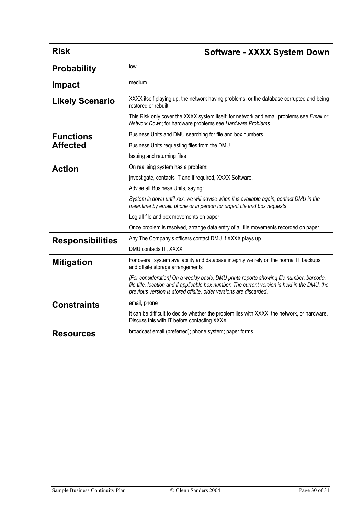<span id="page-29-0"></span>

| <b>Risk</b>                         | <b>Software - XXXX System Down</b>                                                                                                                                                                                                                             |
|-------------------------------------|----------------------------------------------------------------------------------------------------------------------------------------------------------------------------------------------------------------------------------------------------------------|
| <b>Probability</b>                  | low                                                                                                                                                                                                                                                            |
| <b>Impact</b>                       | medium                                                                                                                                                                                                                                                         |
| <b>Likely Scenario</b>              | XXXX itself playing up, the network having problems, or the database corrupted and being<br>restored or rebuilt                                                                                                                                                |
|                                     | This Risk only cover the XXXX system itself: for network and email problems see Email or<br>Network Down; for hardware problems see Hardware Problems                                                                                                          |
| <b>Functions</b><br><b>Affected</b> | Business Units and DMU searching for file and box numbers                                                                                                                                                                                                      |
|                                     | Business Units requesting files from the DMU                                                                                                                                                                                                                   |
|                                     | Issuing and returning files                                                                                                                                                                                                                                    |
| <b>Action</b>                       | On realising system has a problem:                                                                                                                                                                                                                             |
|                                     | Investigate, contacts IT and if required, XXXX Software.                                                                                                                                                                                                       |
|                                     | Advise all Business Units, saying:                                                                                                                                                                                                                             |
|                                     | System is down until xxx, we will advise when it is available again, contact DMU in the<br>meantime by email. phone or in person for urgent file and box requests                                                                                              |
|                                     | Log all file and box movements on paper                                                                                                                                                                                                                        |
|                                     | Once problem is resolved, arrange data entry of all file movements recorded on paper                                                                                                                                                                           |
| <b>Responsibilities</b>             | Any The Company's officers contact DMU if XXXX plays up                                                                                                                                                                                                        |
|                                     | DMU contacts IT, XXXX                                                                                                                                                                                                                                          |
| <b>Mitigation</b>                   | For overall system availability and database integrity we rely on the normal IT backups<br>and offsite storage arrangements                                                                                                                                    |
|                                     | [For consideration] On a weekly basis, DMU prints reports showing file number, barcode,<br>file title, location and if applicable box number. The current version is held in the DMU, the<br>previous version is stored offsite, older versions are discarded. |
| <b>Constraints</b>                  | email, phone                                                                                                                                                                                                                                                   |
|                                     | It can be difficult to decide whether the problem lies with XXXX, the network, or hardware.<br>Discuss this with IT before contacting XXXX.                                                                                                                    |
| <b>Resources</b>                    | broadcast email (preferred); phone system; paper forms                                                                                                                                                                                                         |